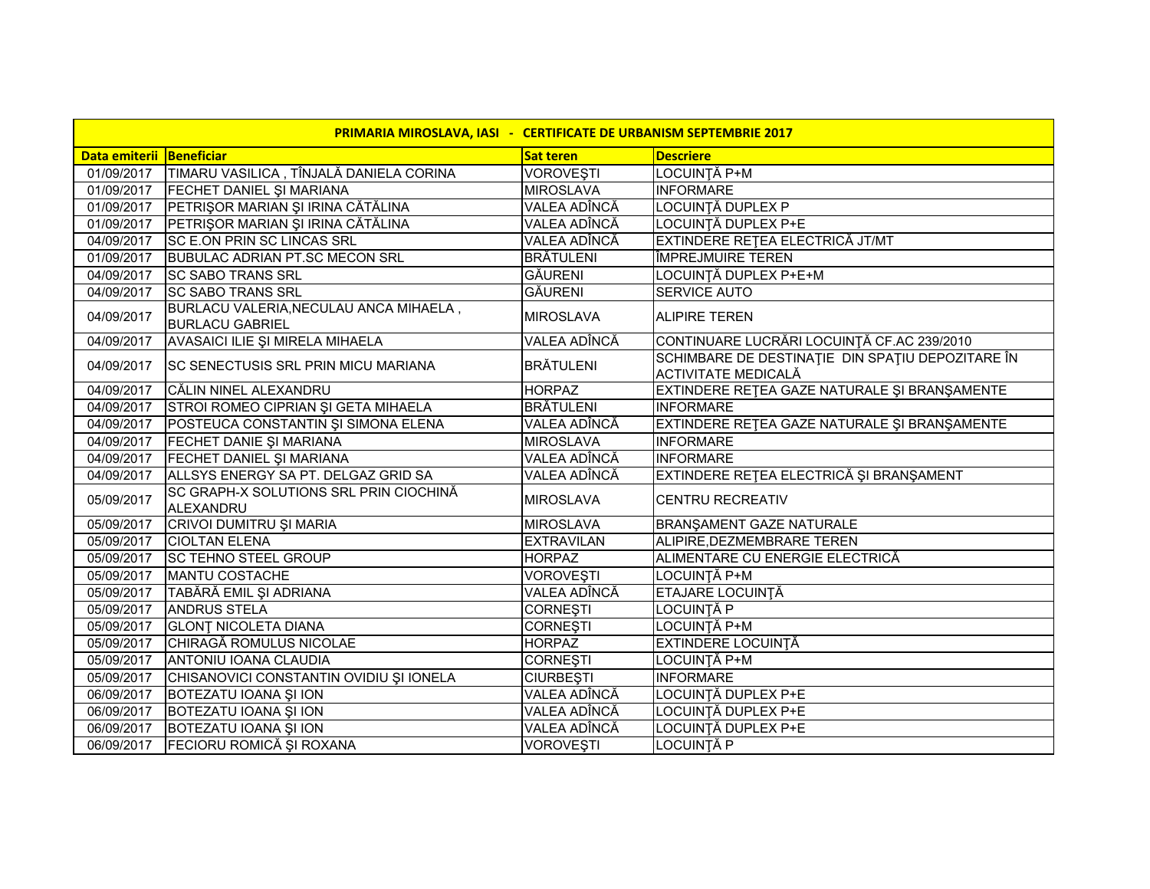| PRIMARIA MIROSLAVA, IASI - CERTIFICATE DE URBANISM SEPTEMBRIE 2017 |                                                                  |                   |                                                                         |
|--------------------------------------------------------------------|------------------------------------------------------------------|-------------------|-------------------------------------------------------------------------|
| Data emiterii Beneficiar                                           |                                                                  | Sat teren         | <b>Descriere</b>                                                        |
| 01/09/2017                                                         | TIMARU VASILICA, TÎNJALĂ DANIELA CORINA                          | <b>VOROVESTI</b>  | LOCUINTĂ P+M                                                            |
| 01/09/2017                                                         | <b>FECHET DANIEL ȘI MARIANA</b>                                  | <b>MIROSLAVA</b>  | <b>INFORMARE</b>                                                        |
| 01/09/2017                                                         | PETRIŞOR MARIAN ŞI IRINA CĂTĂLINA                                | VALEA ADÎNCĂ      | <b>LOCUINȚĂ DUPLEX P</b>                                                |
| 01/09/2017                                                         | PETRIŞOR MARIAN ŞI IRINA CĂTĂLINA                                | VALEA ADÎNCĂ      | <b>LOCUINȚĂ DUPLEX P+E</b>                                              |
| 04/09/2017                                                         | <b>SC E.ON PRIN SC LINCAS SRL</b>                                | VALEA ADÎNCĂ      | EXTINDERE REȚEA ELECTRICĂ JT/MT                                         |
| 01/09/2017                                                         | <b>BUBULAC ADRIAN PT.SC MECON SRL</b>                            | <b>BRÄTULENI</b>  | ÎMPREJMUIRE TEREN                                                       |
| 04/09/2017                                                         | <b>SC SABO TRANS SRL</b>                                         | <b>GĂURENI</b>    | LOCUINȚĂ DUPLEX P+E+M                                                   |
| 04/09/2017                                                         | <b>SC SABO TRANS SRL</b>                                         | <b>GĂURENI</b>    | <b>SERVICE AUTO</b>                                                     |
| 04/09/2017                                                         | BURLACU VALERIA, NECULAU ANCA MIHAELA,<br><b>BURLACU GABRIEL</b> | <b>MIROSLAVA</b>  | <b>ALIPIRE TEREN</b>                                                    |
| 04/09/2017                                                         | AVASAICI ILIE ȘI MIRELA MIHAELA                                  | VALEA ADÎNCĂ      | CONTINUARE LUCRĂRI LOCUINȚĂ CF.AC 239/2010                              |
| 04/09/2017                                                         | <b>SC SENECTUSIS SRL PRIN MICU MARIANA</b>                       | <b>BRÄTULENI</b>  | SCHIMBARE DE DESTINAȚIE DIN SPAȚIU DEPOZITARE ÎN<br>ACTIVITATE MEDICALĂ |
| 04/09/2017                                                         | CĂLIN NINEL ALEXANDRU                                            | <b>HORPAZ</b>     | EXTINDERE REȚEA GAZE NATURALE ȘI BRANȘAMENTE                            |
| 04/09/2017                                                         | STROI ROMEO CIPRIAN ȘI GETA MIHAELA                              | <b>BRĂTULENI</b>  | <b>INFORMARE</b>                                                        |
| 04/09/2017                                                         | POSTEUCA CONSTANTIN ȘI SIMONA ELENA                              | VALEA ADÎNCĂ      | EXTINDERE RETEA GAZE NATURALE ȘI BRANȘAMENTE                            |
| 04/09/2017                                                         | <b>FECHET DANIE SI MARIANA</b>                                   | <b>MIROSLAVA</b>  | <b>INFORMARE</b>                                                        |
| 04/09/2017                                                         | FECHET DANIEL ȘI MARIANA                                         | VALEA ADÎNCĂ      | <b>INFORMARE</b>                                                        |
| 04/09/2017                                                         | ALLSYS ENERGY SA PT. DELGAZ GRID SA                              | VALEA ADÎNCĂ      | EXTINDERE REȚEA ELECTRICĂ ȘI BRANȘAMENT                                 |
| 05/09/2017                                                         | SC GRAPH-X SOLUTIONS SRL PRIN CIOCHINĂ<br>ALEXANDRU              | <b>MIROSLAVA</b>  | <b>CENTRU RECREATIV</b>                                                 |
| 05/09/2017                                                         | CRIVOI DUMITRU ȘI MARIA                                          | <b>MIROSLAVA</b>  | BRANŞAMENT GAZE NATURALE                                                |
| 05/09/2017                                                         | <b>CIOLTAN ELENA</b>                                             | <b>EXTRAVILAN</b> | ALIPIRE, DEZMEMBRARE TEREN                                              |
| 05/09/2017                                                         | <b>SC TEHNO STEEL GROUP</b>                                      | <b>HORPAZ</b>     | ALIMENTARE CU ENERGIE ELECTRICĂ                                         |
| 05/09/2017                                                         | <b>MANTU COSTACHE</b>                                            | <b>VOROVEŞTI</b>  | LOCUINȚĂ P+M                                                            |
| 05/09/2017                                                         | TABĂRĂ EMIL ȘI ADRIANA                                           | VALEA ADÎNCĂ      | ETAJARE LOCUINȚĂ                                                        |
| 05/09/2017                                                         | <b>ANDRUS STELA</b>                                              | <b>CORNEȘTI</b>   | <b>LOCUINȚĂ P</b>                                                       |
| 05/09/2017                                                         | <b>GLONT NICOLETA DIANA</b>                                      | <b>CORNEȘTI</b>   | LOCUINȚĂ P+M                                                            |
| 05/09/2017                                                         | CHIRAGĂ ROMULUS NICOLAE                                          | <b>HORPAZ</b>     | EXTINDERE LOCUINȚĂ                                                      |
| 05/09/2017                                                         | ANTONIU IOANA CLAUDIA                                            | <b>CORNEȘTI</b>   | LOCUINȚĂ P+M                                                            |
| 05/09/2017                                                         | CHISANOVICI CONSTANTIN OVIDIU ȘI IONELA                          | <b>CIURBEȘTI</b>  | <b>INFORMARE</b>                                                        |
| 06/09/2017                                                         | <b>BOTEZATU IOANA ȘI ION</b>                                     | VALEA ADÎNCĂ      | LOCUINȚĂ DUPLEX P+E                                                     |
| 06/09/2017                                                         | <b>BOTEZATU IOANA ȘI ION</b>                                     | VALEA ADÎNCĂ      | LOCUINȚĂ DUPLEX P+E                                                     |
| 06/09/2017                                                         | <b>BOTEZATU IOANA ȘI ION</b>                                     | VALEA ADÎNCĂ      | LOCUINȚĂ DUPLEX P+E                                                     |
| 06/09/2017                                                         | FECIORU ROMICĂ ȘI ROXANA                                         | <b>VOROVEȘTI</b>  | <b>LOCUINȚĂ P</b>                                                       |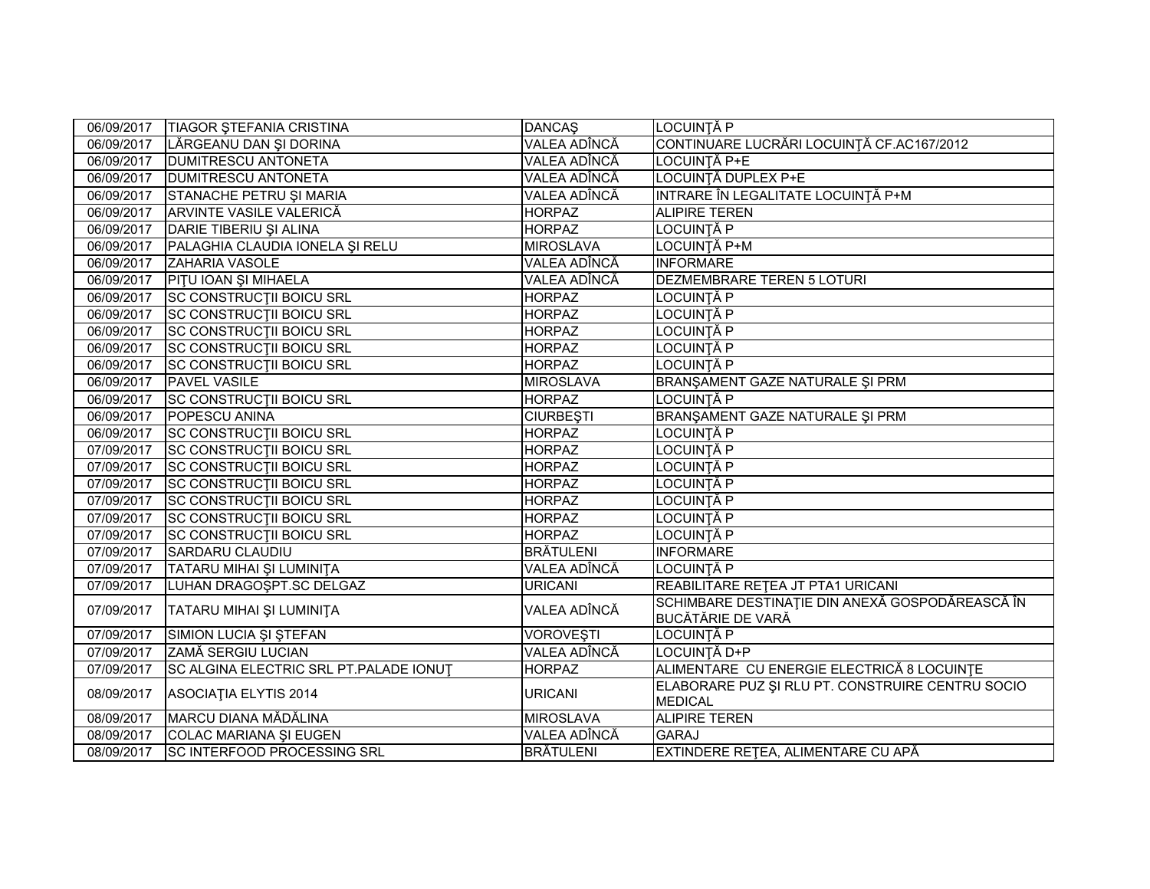| 06/09/2017 | <b>TIAGOR STEFANIA CRISTINA</b>        | <b>DANCAŞ</b>    | LOCUINȚĂ P                                                                  |
|------------|----------------------------------------|------------------|-----------------------------------------------------------------------------|
| 06/09/2017 | LĂRGEANU DAN ȘI DORINA                 | VALEA ADÎNCĂ     | CONTINUARE LUCRĂRI LOCUINȚĂ CF.AC167/2012                                   |
| 06/09/2017 | <b>DUMITRESCU ANTONETA</b>             | VALEA ADÎNCĂ     | LOCUINȚĂ P+E                                                                |
| 06/09/2017 | <b>DUMITRESCU ANTONETA</b>             | VALEA ADÎNCĂ     | LOCUINȚĂ DUPLEX P+E                                                         |
| 06/09/2017 | STANACHE PETRU ȘI MARIA                | VALEA ADÎNCĂ     | INTRARE ÎN LEGALITATE LOCUINȚĂ P+M                                          |
| 06/09/2017 | ARVINTE VASILE VALERICĂ                | <b>HORPAZ</b>    | <b>ALIPIRE TEREN</b>                                                        |
| 06/09/2017 | DARIE TIBERIU ȘI ALINA                 | <b>HORPAZ</b>    | LOCUINȚĂ P                                                                  |
| 06/09/2017 | PALAGHIA CLAUDIA IONELA ȘI RELU        | <b>MIROSLAVA</b> | LOCUINȚĂ P+M                                                                |
| 06/09/2017 | <b>ZAHARIA VASOLE</b>                  | VALEA ADÎNCĂ     | <b>INFORMARE</b>                                                            |
| 06/09/2017 | <b>PITU IOAN ȘI MIHAELA</b>            | VALEA ADÎNCĂ     | DEZMEMBRARE TEREN 5 LOTURI                                                  |
| 06/09/2017 | <b>SC CONSTRUCTII BOICU SRL</b>        | <b>HORPAZ</b>    | LOCUINȚĂ P                                                                  |
| 06/09/2017 | <b>SC CONSTRUCTII BOICU SRL</b>        | <b>HORPAZ</b>    | LOCUINȚĂ P                                                                  |
| 06/09/2017 | <b>SC CONSTRUCTII BOICU SRL</b>        | <b>HORPAZ</b>    | LOCUINȚĂ P                                                                  |
| 06/09/2017 | <b>SC CONSTRUCTII BOICU SRL</b>        | <b>HORPAZ</b>    | LOCUINȚĂ P                                                                  |
| 06/09/2017 | <b>SC CONSTRUCTII BOICU SRL</b>        | <b>HORPAZ</b>    | LOCUINȚĂ P                                                                  |
| 06/09/2017 | <b>PAVEL VASILE</b>                    | <b>MIROSLAVA</b> | BRANŞAMENT GAZE NATURALE ŞI PRM                                             |
| 06/09/2017 | <b>SC CONSTRUCTII BOICU SRL</b>        | <b>HORPAZ</b>    | LOCUINȚĂ P                                                                  |
| 06/09/2017 | <b>POPESCU ANINA</b>                   | <b>CIURBEȘTI</b> | BRANŞAMENT GAZE NATURALE ŞI PRM                                             |
| 06/09/2017 | <b>SC CONSTRUCTII BOICU SRL</b>        | <b>HORPAZ</b>    | LOCUINȚĂ P                                                                  |
| 07/09/2017 | <b>SC CONSTRUCTII BOICU SRL</b>        | <b>HORPAZ</b>    | LOCUINȚĂ P                                                                  |
| 07/09/2017 | <b>SC CONSTRUCTII BOICU SRL</b>        | <b>HORPAZ</b>    | _OCUINȚĂ P                                                                  |
| 07/09/2017 | <b>SC CONSTRUCTII BOICU SRL</b>        | <b>HORPAZ</b>    | _OCUINȚĂ P                                                                  |
| 07/09/2017 | <b>SC CONSTRUCTII BOICU SRL</b>        | <b>HORPAZ</b>    | _OCUINȚĂ P                                                                  |
| 07/09/2017 | <b>SC CONSTRUCTII BOICU SRL</b>        | <b>HORPAZ</b>    | LOCUINȚĂ P                                                                  |
| 07/09/2017 | <b>SC CONSTRUCTII BOICU SRL</b>        | <b>HORPAZ</b>    | LOCUINȚĂ P                                                                  |
| 07/09/2017 | <b>SARDARU CLAUDIU</b>                 | BRĂTULENI        | <b>INFORMARE</b>                                                            |
| 07/09/2017 | <b>TATARU MIHAI ȘI LUMINIȚA</b>        | VALEA ADÎNCĂ     | LOCUINȚĂ P                                                                  |
| 07/09/2017 | LUHAN DRAGOSPT.SC DELGAZ               | <b>URICANI</b>   | REABILITARE RETEA JT PTA1 URICANI                                           |
| 07/09/2017 | TATARU MIHAI ȘI LUMINIȚA               | VALEA ADÎNCĂ     | SCHIMBARE DESTINAȚIE DIN ANEXĂ GOSPODĂREASCĂ ÎN<br><b>BUCĂTĂRIE DE VARĂ</b> |
| 07/09/2017 | SIMION LUCIA ȘI ȘTEFAN                 | <b>VOROVEȘTI</b> | LOCUINȚĂ P                                                                  |
| 07/09/2017 | ZAMĂ SERGIU LUCIAN                     | VALEA ADÎNCĂ     | LOCUINȚĂ D+P                                                                |
| 07/09/2017 | SC ALGINA ELECTRIC SRL PT.PALADE IONUT | <b>HORPAZ</b>    | ALIMENTARE CU ENERGIE ELECTRICĂ 8 LOCUINȚE                                  |
| 08/09/2017 | ASOCIATIA ELYTIS 2014                  | <b>URICANI</b>   | ELABORARE PUZ ȘI RLU PT. CONSTRUIRE CENTRU SOCIO<br><b>MEDICAL</b>          |
| 08/09/2017 | MARCU DIANA MĂDĂLINA                   | <b>MIROSLAVA</b> | <b>ALIPIRE TEREN</b>                                                        |
| 08/09/2017 | COLAC MARIANA ȘI EUGEN                 | VALEA ADÎNCĂ     | <b>GARAJ</b>                                                                |
| 08/09/2017 | <b>SC INTERFOOD PROCESSING SRL</b>     | <b>BRĂTULENI</b> | EXTINDERE RETEA, ALIMENTARE CU APĂ                                          |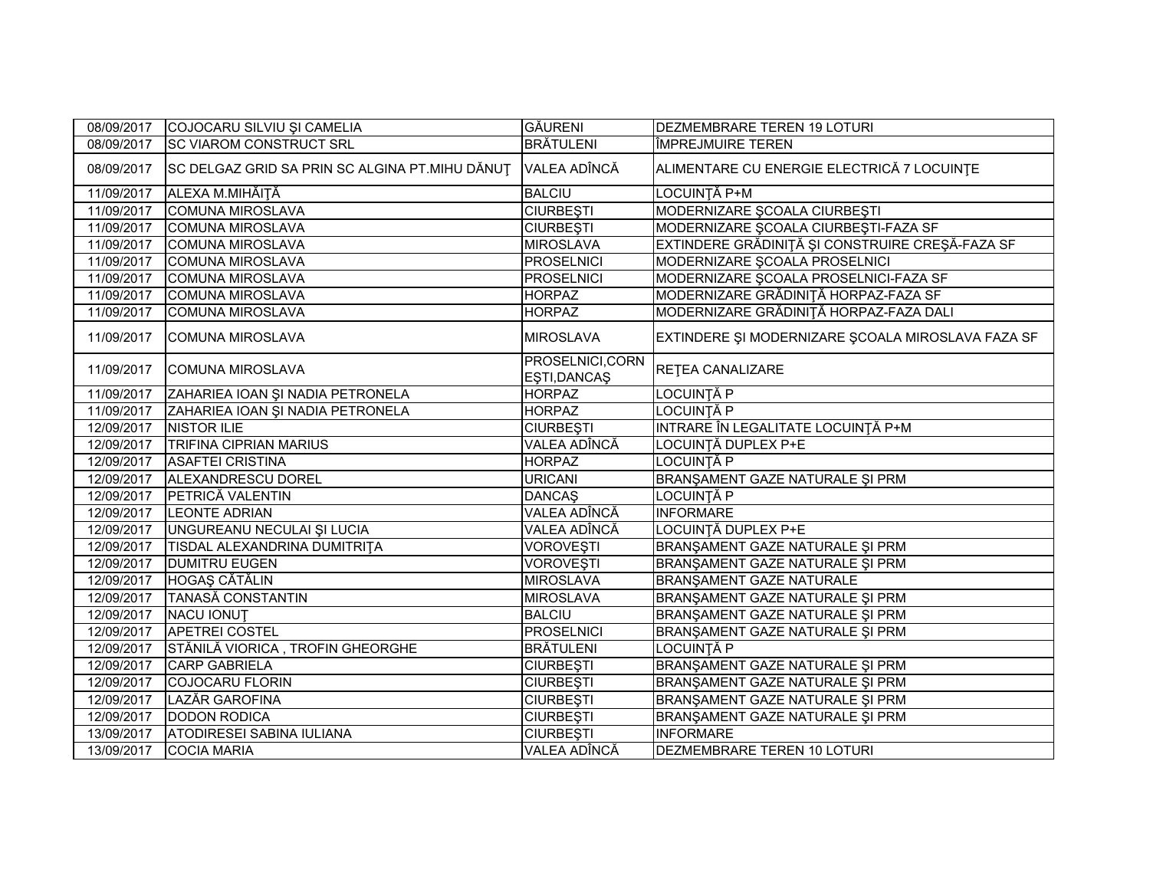| 08/09/2017 | COJOCARU SILVIU ȘI CAMELIA                     | <b>GĂURENI</b>                  | <b>DEZMEMBRARE TEREN 19 LOTURI</b>                |
|------------|------------------------------------------------|---------------------------------|---------------------------------------------------|
| 08/09/2017 | <b>SC VIAROM CONSTRUCT SRL</b>                 | <b>BRÄTULENI</b>                | ÎMPREJMUIRE TEREN                                 |
| 08/09/2017 | SC DELGAZ GRID SA PRIN SC ALGINA PT.MIHU DĂNUȚ | <b>VALEA ADÎNCĂ</b>             | ALIMENTARE CU ENERGIE ELECTRICĂ 7 LOCUINȚE        |
| 11/09/2017 | ALEXA M.MIHĂIȚĂ                                | <b>BALCIU</b>                   | LOCUINȚĂ P+M                                      |
| 11/09/2017 | <b>COMUNA MIROSLAVA</b>                        | <b>CIURBEȘTI</b>                | MODERNIZARE ȘCOALA CIURBEȘTI                      |
| 11/09/2017 | <b>COMUNA MIROSLAVA</b>                        | <b>CIURBEȘTI</b>                | MODERNIZARE ȘCOALA CIURBEȘTI-FAZA SF              |
| 11/09/2017 | <b>COMUNA MIROSLAVA</b>                        | <b>MIROSLAVA</b>                | EXTINDERE GRĂDINIȚĂ ȘI CONSTRUIRE CREȘĂ-FAZA SF   |
| 11/09/2017 | COMUNA MIROSLAVA                               | <b>PROSELNICI</b>               | MODERNIZARE ȘCOALA PROSELNICI                     |
| 11/09/2017 | <b>COMUNA MIROSLAVA</b>                        | PROSELNICI                      | MODERNIZARE ȘCOALA PROSELNICI-FAZA SF             |
| 11/09/2017 | <b>COMUNA MIROSLAVA</b>                        | <b>HORPAZ</b>                   | MODERNIZARE GRĂDINIȚĂ HORPAZ-FAZA SF              |
| 11/09/2017 | <b>COMUNA MIROSLAVA</b>                        | <b>HORPAZ</b>                   | MODERNIZARE GRĂDINIȚĂ HORPAZ-FAZA DALI            |
| 11/09/2017 | <b>COMUNA MIROSLAVA</b>                        | <b>MIROSLAVA</b>                | EXTINDERE ȘI MODERNIZARE ȘCOALA MIROSLAVA FAZA SF |
| 11/09/2017 | <b>COMUNA MIROSLAVA</b>                        | PROSELNICI,CORN<br>EŞTI, DANCAŞ | RETEA CANALIZARE                                  |
| 11/09/2017 | ZAHARIEA IOAN ȘI NADIA PETRONELA               | <b>HORPAZ</b>                   | LOCUINȚĂ P                                        |
| 11/09/2017 | ZAHARIEA IOAN ȘI NADIA PETRONELA               | <b>HORPAZ</b>                   | LOCUINȚĂ P                                        |
| 12/09/2017 | NISTOR ILIE                                    | <b>CIURBESTI</b>                | INTRARE ÎN LEGALITATE LOCUINȚĂ P+M                |
| 12/09/2017 | <b>TRIFINA CIPRIAN MARIUS</b>                  | VALEA ADÎNCĂ                    | LOCUINȚĂ DUPLEX P+E                               |
| 12/09/2017 | <b>ASAFTEI CRISTINA</b>                        | <b>HORPAZ</b>                   | LOCUINȚĂ P                                        |
| 12/09/2017 | ALEXANDRESCU DOREL                             | <b>URICANI</b>                  | BRANSAMENT GAZE NATURALE SI PRM                   |
| 12/09/2017 | PETRICĂ VALENTIN                               | <b>DANCAS</b>                   | LOCUINȚĂ P                                        |
| 12/09/2017 | <b>LEONTE ADRIAN</b>                           | VALEA ADÎNCĂ                    | <b>INFORMARE</b>                                  |
| 12/09/2017 | UNGUREANU NECULAI ȘI LUCIA                     | VALEA ADÎNCĂ                    | LOCUINȚĂ DUPLEX P+E                               |
| 12/09/2017 | TISDAL ALEXANDRINA DUMITRITA                   | <b>VOROVEŞTI</b>                | BRANŞAMENT GAZE NATURALE ŞI PRM                   |
| 12/09/2017 | <b>DUMITRU EUGEN</b>                           | <b>VOROVEŞTI</b>                | BRANŞAMENT GAZE NATURALE ŞI PRM                   |
| 12/09/2017 | HOGAȘ CĂTĂLIN                                  | <b>MIROSLAVA</b>                | BRANŞAMENT GAZE NATURALE                          |
| 12/09/2017 | <b>TANASĂ CONSTANTIN</b>                       | <b>MIROSLAVA</b>                | BRANŞAMENT GAZE NATURALE ŞI PRM                   |
| 12/09/2017 | <b>NACU IONUT</b>                              | <b>BALCIU</b>                   | BRANŞAMENT GAZE NATURALE ŞI PRM                   |
| 12/09/2017 | <b>APETREI COSTEL</b>                          | <b>PROSELNICI</b>               | BRANŞAMENT GAZE NATURALE ŞI PRM                   |
| 12/09/2017 | STĂNILĂ VIORICA, TROFIN GHEORGHE               | <b>BRÄTULENI</b>                | LOCUINȚĂ P                                        |
| 12/09/2017 | <b>CARP GABRIELA</b>                           | <b>CIURBEȘTI</b>                | BRANŞAMENT GAZE NATURALE ŞI PRM                   |
| 12/09/2017 | COJOCARU FLORIN                                | <b>CIURBEȘTI</b>                | BRANŞAMENT GAZE NATURALE ŞI PRM                   |
| 12/09/2017 | LAZĂR GAROFINA                                 | <b>CIURBEȘTI</b>                | BRANŞAMENT GAZE NATURALE ŞI PRM                   |
| 12/09/2017 | <b>DODON RODICA</b>                            | <b>CIURBEȘTI</b>                | BRANŞAMENT GAZE NATURALE ŞI PRM                   |
| 13/09/2017 | <b>ATODIRESEI SABINA IULIANA</b>               | <b>CIURBEȘTI</b>                | <b>INFORMARE</b>                                  |
| 13/09/2017 | <b>COCIA MARIA</b>                             | VALEA ADÎNCĂ                    | DEZMEMBRARE TEREN 10 LOTURI                       |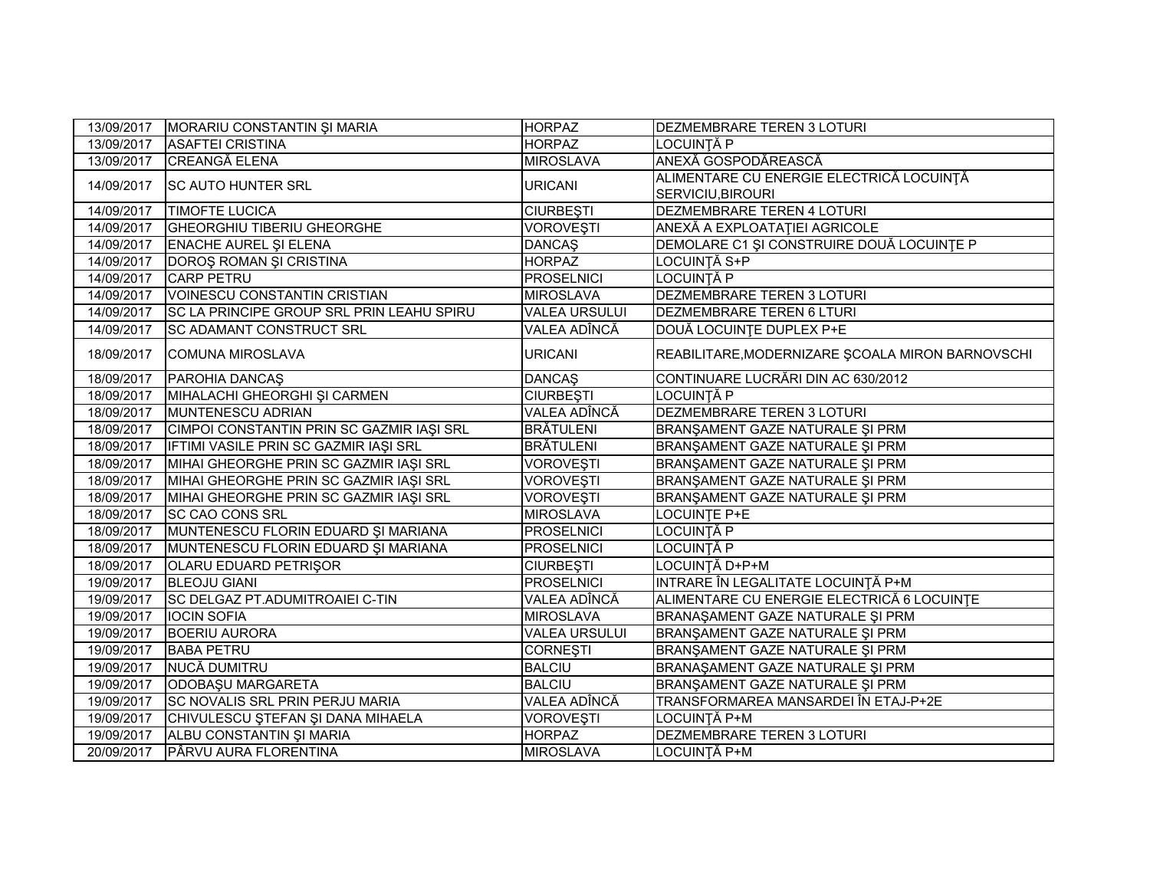| 13/09/2017 | MORARIU CONSTANTIN ȘI MARIA                      | <b>HORPAZ</b>        | DEZMEMBRARE TEREN 3 LOTURI                                           |
|------------|--------------------------------------------------|----------------------|----------------------------------------------------------------------|
| 13/09/2017 | <b>ASAFTEI CRISTINA</b>                          | <b>HORPAZ</b>        | <b>LOCUINȚĂ P</b>                                                    |
| 13/09/2017 | <b>CREANGĂ ELENA</b>                             | <b>MIROSLAVA</b>     | ANEXĂ GOSPODĂREASCĂ                                                  |
| 14/09/2017 | <b>SC AUTO HUNTER SRL</b>                        | <b>URICANI</b>       | ALIMENTARE CU ENERGIE ELECTRICĂ LOCUINȚĂ<br><b>SERVICIU, BIROURI</b> |
| 14/09/2017 | <b>TIMOFTE LUCICA</b>                            | <b>CIURBEȘTI</b>     | DEZMEMBRARE TEREN 4 LOTURI                                           |
| 14/09/2017 | <b>GHEORGHIU TIBERIU GHEORGHE</b>                | <b>VOROVESTI</b>     | ANEXĂ A EXPLOATAȚIEI AGRICOLE                                        |
| 14/09/2017 | <b>ENACHE AUREL ȘI ELENA</b>                     | <b>DANCAŞ</b>        | DEMOLARE C1 ȘI CONSTRUIRE DOUĂ LOCUINȚE P                            |
| 14/09/2017 | DOROȘ ROMAN ȘI CRISTINA                          | <b>HORPAZ</b>        | <b>LOCUINȚĂ S+P</b>                                                  |
| 14/09/2017 | <b>CARP PETRU</b>                                | <b>PROSELNICI</b>    | <b>LOCUINȚĂ P</b>                                                    |
| 14/09/2017 | VOINESCU CONSTANTIN CRISTIAN                     | <b>MIROSLAVA</b>     | DEZMEMBRARE TEREN 3 LOTURI                                           |
| 14/09/2017 | <b>SC LA PRINCIPE GROUP SRL PRIN LEAHU SPIRU</b> | <b>VALEA URSULUI</b> | <b>DEZMEMBRARE TEREN 6 LTURI</b>                                     |
| 14/09/2017 | SC ADAMANT CONSTRUCT SRL                         | VALEA ADÎNCĂ         | DOUĂ LOCUINȚE DUPLEX P+E                                             |
| 18/09/2017 | <b>COMUNA MIROSLAVA</b>                          | <b>URICANI</b>       | REABILITARE, MODERNIZARE ŞCOALA MIRON BARNOVSCHI                     |
| 18/09/2017 | <b>PAROHIA DANCAS</b>                            | <b>DANCAS</b>        | CONTINUARE LUCRĂRI DIN AC 630/2012                                   |
| 18/09/2017 | MIHALACHI GHEORGHI ȘI CARMEN                     | <b>CIURBEȘTI</b>     | LOCUINȚĂ P                                                           |
| 18/09/2017 | MUNTENESCU ADRIAN                                | VALEA ADÎNCĂ         | DEZMEMBRARE TEREN 3 LOTURI                                           |
| 18/09/2017 | CIMPOI CONSTANTIN PRIN SC GAZMIR IAŞI SRL        | <b>BRÄTULENI</b>     | BRANŞAMENT GAZE NATURALE ŞI PRM                                      |
| 18/09/2017 | IFTIMI VASILE PRIN SC GAZMIR IAŞI SRL            | <b>BRĂTULENI</b>     | BRANŞAMENT GAZE NATURALE ŞI PRM                                      |
| 18/09/2017 | MIHAI GHEORGHE PRIN SC GAZMIR IAȘI SRL           | <b>VOROVEȘTI</b>     | BRANŞAMENT GAZE NATURALE ŞI PRM                                      |
| 18/09/2017 | MIHAI GHEORGHE PRIN SC GAZMIR IAȘI SRL           | <b>VOROVEŞTI</b>     | BRANŞAMENT GAZE NATURALE ŞI PRM                                      |
| 18/09/2017 | MIHAI GHEORGHE PRIN SC GAZMIR IAȘI SRL           | VOROVEȘTI            | BRANŞAMENT GAZE NATURALE ŞI PRM                                      |
| 18/09/2017 | <b>SC CAO CONS SRL</b>                           | <b>MIROSLAVA</b>     | LOCUINTE P+E                                                         |
| 18/09/2017 | MUNTENESCU FLORIN EDUARD ȘI MARIANA              | <b>PROSELNICI</b>    | LOCUINȚĂ P                                                           |
| 18/09/2017 | MUNTENESCU FLORIN EDUARD ȘI MARIANA              | <b>PROSELNICI</b>    | LOCUINȚĂ P                                                           |
| 18/09/2017 | <b>OLARU EDUARD PETRIŞOR</b>                     | <b>CIURBEȘTI</b>     | LOCUINȚĂ D+P+M                                                       |
| 19/09/2017 | <b>BLEOJU GIANI</b>                              | <b>PROSELNICI</b>    | INTRARE ÎN LEGALITATE LOCUINȚĂ P+M                                   |
| 19/09/2017 | SC DELGAZ PT.ADUMITROAIEI C-TIN                  | VALEA ADÎNCĂ         | ALIMENTARE CU ENERGIE ELECTRICĂ 6 LOCUINȚE                           |
| 19/09/2017 | <b>IOCIN SOFIA</b>                               | <b>MIROSLAVA</b>     | BRANAŞAMENT GAZE NATURALE ŞI PRM                                     |
| 19/09/2017 | <b>BOERIU AURORA</b>                             | <b>VALEA URSULUI</b> | BRANŞAMENT GAZE NATURALE ŞI PRM                                      |
| 19/09/2017 | <b>BABA PETRU</b>                                | <b>CORNESTI</b>      | BRANŞAMENT GAZE NATURALE ŞI PRM                                      |
| 19/09/2017 | NUCĂ DUMITRU                                     | <b>BALCIU</b>        | BRANAŞAMENT GAZE NATURALE ŞI PRM                                     |
| 19/09/2017 | ODOBAȘU MARGARETA                                | <b>BALCIU</b>        | BRANŞAMENT GAZE NATURALE ŞI PRM                                      |
| 19/09/2017 | <b>SC NOVALIS SRL PRIN PERJU MARIA</b>           | VALEA ADÎNCĂ         | TRANSFORMAREA MANSARDEI ÎN ETAJ-P+2E                                 |
| 19/09/2017 | CHIVULESCU ȘTEFAN ȘI DANA MIHAELA                | <b>VOROVEŞTI</b>     | LOCUINȚĂ P+M                                                         |
| 19/09/2017 | ALBU CONSTANTIN ȘI MARIA                         | <b>HORPAZ</b>        | DEZMEMBRARE TEREN 3 LOTURI                                           |
| 20/09/2017 | PÂRVU AURA FLORENTINA                            | <b>MIROSLAVA</b>     | LOCUINȚĂ P+M                                                         |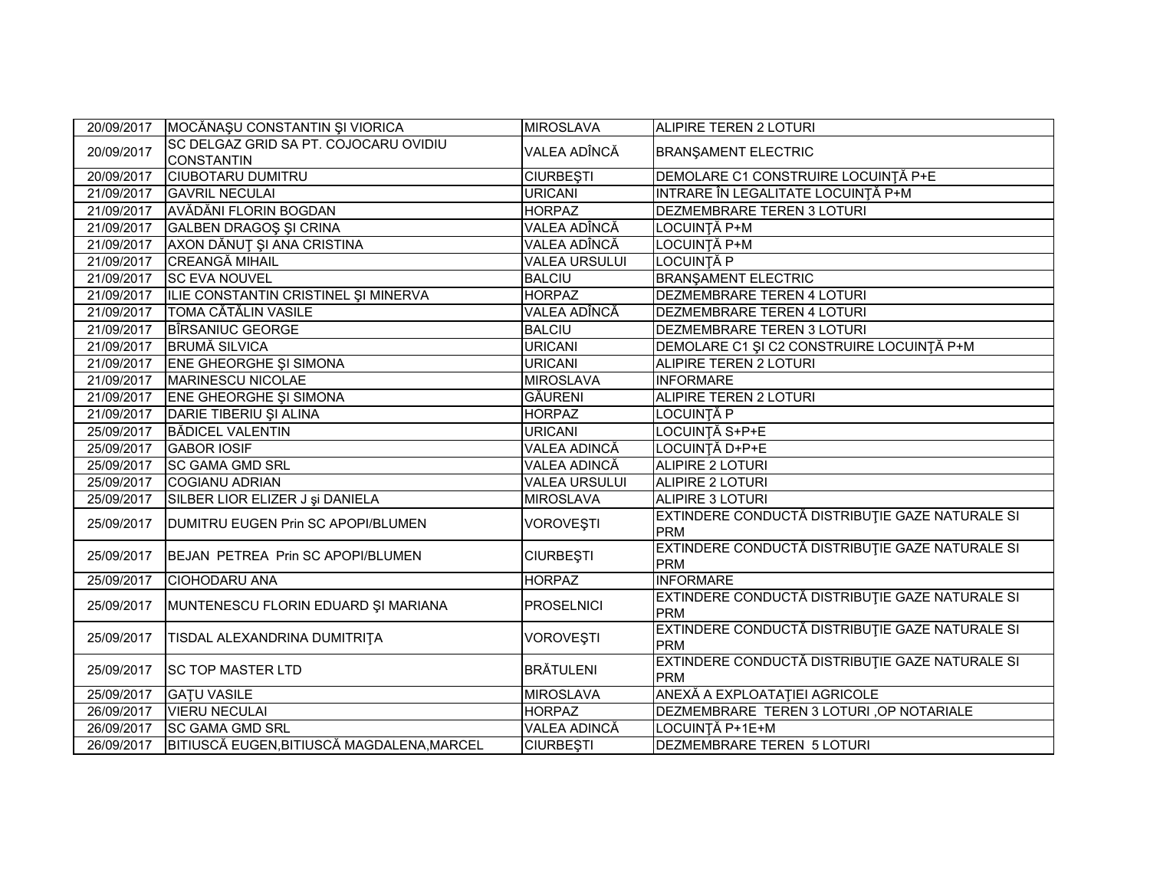| 20/09/2017 | MOCĂNAȘU CONSTANTIN ȘI VIORICA             | <b>MIROSLAVA</b>     | ALIPIRE TEREN 2 LOTURI                                        |
|------------|--------------------------------------------|----------------------|---------------------------------------------------------------|
| 20/09/2017 | SC DELGAZ GRID SA PT. COJOCARU OVIDIU      | VALEA ADÎNCĂ         | <b>BRANŞAMENT ELECTRIC</b>                                    |
|            | <b>CONSTANTIN</b>                          |                      |                                                               |
| 20/09/2017 | <b>CIUBOTARU DUMITRU</b>                   | <b>CIURBEȘTI</b>     | DEMOLARE C1 CONSTRUIRE LOCUINȚĂ P+E                           |
| 21/09/2017 | <b>GAVRIL NECULAI</b>                      | <b>URICANI</b>       | INTRARE ÎN LEGALITATE LOCUINȚĂ P+M                            |
| 21/09/2017 | AVĂDĂNI FLORIN BOGDAN                      | <b>HORPAZ</b>        | DEZMEMBRARE TEREN 3 LOTURI                                    |
| 21/09/2017 | <b>GALBEN DRAGOS SI CRINA</b>              | VALEA ADÎNCĂ         | LOCUINȚĂ P+M                                                  |
| 21/09/2017 | AXON DĂNUȚ ȘI ANA CRISTINA                 | VALEA ADÎNCĂ         | LOCUINȚĂ P+M                                                  |
| 21/09/2017 | <b>CREANGĂ MIHAIL</b>                      | <b>VALEA URSULUI</b> | <b>LOCUINȚĂ P</b>                                             |
| 21/09/2017 | <b>SC EVA NOUVEL</b>                       | <b>BALCIU</b>        | <b>BRANŞAMENT ELECTRIC</b>                                    |
| 21/09/2017 | ILIE CONSTANTIN CRISTINEL ȘI MINERVA       | <b>HORPAZ</b>        | <b>DEZMEMBRARE TEREN 4 LOTURI</b>                             |
| 21/09/2017 | <b>TOMA CĂTĂLIN VASILE</b>                 | VALEA ADÎNCĂ         | DEZMEMBRARE TEREN 4 LOTURI                                    |
| 21/09/2017 | <b>BIRSANIUC GEORGE</b>                    | <b>BALCIU</b>        | DEZMEMBRARE TEREN 3 LOTURI                                    |
| 21/09/2017 | <b>BRUMĂ SILVICA</b>                       | <b>URICANI</b>       | DEMOLARE C1 ȘI C2 CONSTRUIRE LOCUINȚĂ P+M                     |
| 21/09/2017 | ENE GHEORGHE ȘI SIMONA                     | <b>URICANI</b>       | <b>ALIPIRE TEREN 2 LOTURI</b>                                 |
| 21/09/2017 | MARINESCU NICOLAE                          | <b>MIROSLAVA</b>     | <b>INFORMARE</b>                                              |
| 21/09/2017 | <b>ENE GHEORGHE SI SIMONA</b>              | <b>GÄURENI</b>       | ALIPIRE TEREN 2 LOTURI                                        |
| 21/09/2017 | DARIE TIBERIU ȘI ALINA                     | <b>HORPAZ</b>        | LOCUINTĂ P                                                    |
| 25/09/2017 | <b>BĂDICEL VALENTIN</b>                    | <b>URICANI</b>       | LOCUINȚĂ S+P+E                                                |
| 25/09/2017 | <b>GABOR IOSIF</b>                         | <b>VALEA ADINCĂ</b>  | LOCUINȚĂ D+P+E                                                |
| 25/09/2017 | <b>SC GAMA GMD SRL</b>                     | <b>VALEA ADINCĂ</b>  | <b>ALIPIRE 2 LOTURI</b>                                       |
| 25/09/2017 | <b>COGIANU ADRIAN</b>                      | <b>VALEA URSULUI</b> | <b>ALIPIRE 2 LOTURI</b>                                       |
| 25/09/2017 | SILBER LIOR ELIZER J și DANIELA            | <b>MIROSLAVA</b>     | ALIPIRE 3 LOTURI                                              |
| 25/09/2017 | DUMITRU EUGEN Prin SC APOPI/BLUMEN         | <b>VOROVESTI</b>     | EXTINDERE CONDUCTĂ DISTRIBUȚIE GAZE NATURALE SI<br><b>PRM</b> |
| 25/09/2017 | BEJAN PETREA Prin SC APOPI/BLUMEN          | <b>CIURBEȘTI</b>     | EXTINDERE CONDUCTĂ DISTRIBUȚIE GAZE NATURALE SI<br><b>PRM</b> |
| 25/09/2017 | <b>CIOHODARU ANA</b>                       | <b>HORPAZ</b>        | <b>INFORMARE</b>                                              |
| 25/09/2017 | MUNTENESCU FLORIN EDUARD ȘI MARIANA        | <b>PROSELNICI</b>    | EXTINDERE CONDUCTĂ DISTRIBUȚIE GAZE NATURALE SI<br>PRM        |
| 25/09/2017 | TISDAL ALEXANDRINA DUMITRITA               | <b>VOROVESTI</b>     | EXTINDERE CONDUCTĂ DISTRIBUȚIE GAZE NATURALE SI<br><b>PRM</b> |
| 25/09/2017 | <b>SC TOP MASTER LTD</b>                   | <b>BRÄTULENI</b>     | EXTINDERE CONDUCTĂ DISTRIBUȚIE GAZE NATURALE SI<br><b>PRM</b> |
| 25/09/2017 | <b>GATU VASILE</b>                         | <b>MIROSLAVA</b>     | ANEXĂ A EXPLOATAȚIEI AGRICOLE                                 |
| 26/09/2017 | <b>VIERU NECULAI</b>                       | <b>HORPAZ</b>        | DEZMEMBRARE TEREN 3 LOTURI , OP NOTARIALE                     |
| 26/09/2017 | <b>SC GAMA GMD SRL</b>                     | <b>VALEA ADINCĂ</b>  | LOCUINȚĂ P+1E+M                                               |
| 26/09/2017 | BITIUSCĂ EUGEN, BITIUSCĂ MAGDALENA, MARCEL | <b>CIURBESTI</b>     | DEZMEMBRARE TEREN 5 LOTURI                                    |